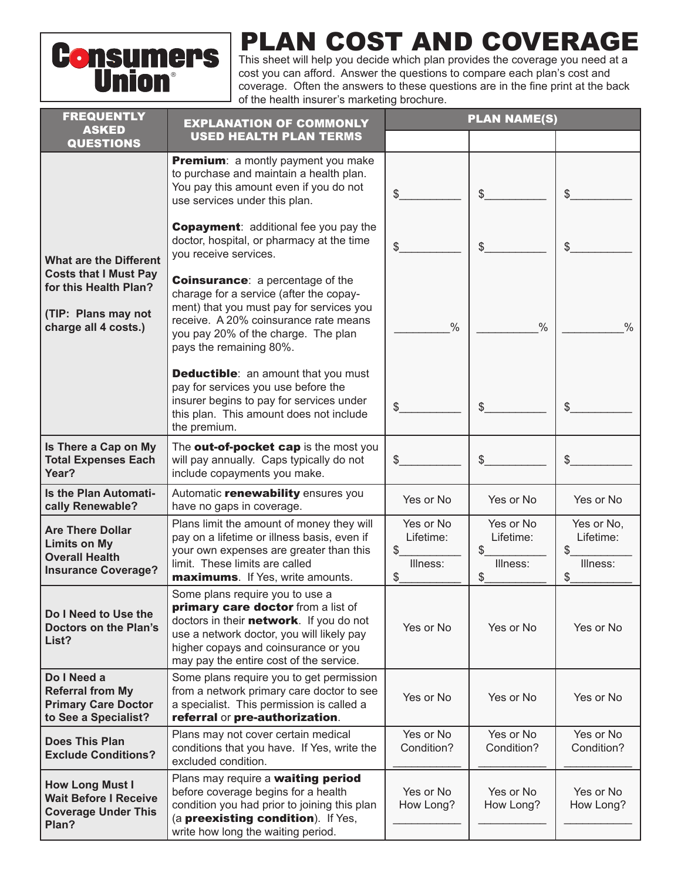

## PLAN COST AND COVERAGE

This sheet will help you decide which plan provides the coverage you need at a cost you can afford. Answer the questions to compare each plan's cost and coverage. Often the answers to these questions are in the fine print at the back of the health insurer's marketing brochure.

| <b>FREQUENTLY</b>                                                                                                                     | <b>EXPLANATION OF COMMONLY</b>                                                                                                                                                                                                                   | <b>PLAN NAME(S)</b>          |                              |                                           |  |
|---------------------------------------------------------------------------------------------------------------------------------------|--------------------------------------------------------------------------------------------------------------------------------------------------------------------------------------------------------------------------------------------------|------------------------------|------------------------------|-------------------------------------------|--|
| <b>ASKED</b><br><b>QUESTIONS</b>                                                                                                      | <b>USED HEALTH PLAN TERMS</b>                                                                                                                                                                                                                    |                              |                              |                                           |  |
|                                                                                                                                       | Premium: a montly payment you make<br>to purchase and maintain a health plan.<br>You pay this amount even if you do not<br>use services under this plan.                                                                                         | \$                           | \$                           | \$                                        |  |
| <b>What are the Different</b><br><b>Costs that I Must Pay</b><br>for this Health Plan?<br>(TIP: Plans may not<br>charge all 4 costs.) | <b>Copayment:</b> additional fee you pay the<br>doctor, hospital, or pharmacy at the time<br>you receive services.                                                                                                                               | \$                           | \$                           | \$                                        |  |
|                                                                                                                                       | <b>Coinsurance:</b> a percentage of the<br>charage for a service (after the copay-<br>ment) that you must pay for services you<br>receive. A 20% coinsurance rate means<br>you pay 20% of the charge. The plan<br>pays the remaining 80%.        | $\frac{0}{0}$                | $\frac{0}{0}$                | $\frac{0}{0}$                             |  |
|                                                                                                                                       | <b>Deductible:</b> an amount that you must<br>pay for services you use before the<br>insurer begins to pay for services under<br>this plan. This amount does not include<br>the premium.                                                         | \$                           | \$                           | \$                                        |  |
| Is There a Cap on My<br><b>Total Expenses Each</b><br>Year?                                                                           | The <b>out-of-pocket cap</b> is the most you<br>will pay annually. Caps typically do not<br>include copayments you make.                                                                                                                         | \$                           | \$                           | \$                                        |  |
| <b>Is the Plan Automati-</b><br>cally Renewable?                                                                                      | Automatic renewability ensures you<br>have no gaps in coverage.                                                                                                                                                                                  | Yes or No                    | Yes or No                    | Yes or No                                 |  |
| <b>Are There Dollar</b><br><b>Limits on My</b><br><b>Overall Health</b>                                                               | Plans limit the amount of money they will<br>pay on a lifetime or illness basis, even if<br>your own expenses are greater than this                                                                                                              | Yes or No<br>Lifetime:<br>\$ | Yes or No<br>Lifetime:<br>\$ | Yes or No,<br>Lifetime:<br>\$<br>Illness: |  |
| <b>Insurance Coverage?</b>                                                                                                            | limit. These limits are called<br>maximums. If Yes, write amounts.                                                                                                                                                                               | Illness:<br>\$_              | Illness:<br>$\frac{1}{2}$    | \$                                        |  |
| Do I Need to Use the<br><b>Doctors on the Plan's</b><br>List?                                                                         | Some plans require you to use a<br>primary care doctor from a list of<br>doctors in their network. If you do not<br>use a network doctor, you will likely pay<br>higher copays and coinsurance or you<br>may pay the entire cost of the service. | Yes or No                    | Yes or No                    | Yes or No                                 |  |
| Do I Need a<br><b>Referral from My</b><br><b>Primary Care Doctor</b><br>to See a Specialist?                                          | Some plans require you to get permission<br>from a network primary care doctor to see<br>a specialist. This permission is called a<br>referral or pre-authorization.                                                                             | Yes or No                    | Yes or No                    | Yes or No                                 |  |
| <b>Does This Plan</b><br><b>Exclude Conditions?</b>                                                                                   | Plans may not cover certain medical<br>conditions that you have. If Yes, write the<br>excluded condition.                                                                                                                                        | Yes or No<br>Condition?      | Yes or No<br>Condition?      | Yes or No<br>Condition?                   |  |
| <b>How Long Must I</b><br><b>Wait Before I Receive</b><br><b>Coverage Under This</b><br>Plan?                                         | Plans may require a waiting period<br>before coverage begins for a health<br>condition you had prior to joining this plan<br>(a preexisting condition). If Yes,<br>write how long the waiting period.                                            | Yes or No<br>How Long?       | Yes or No<br>How Long?       | Yes or No<br>How Long?                    |  |